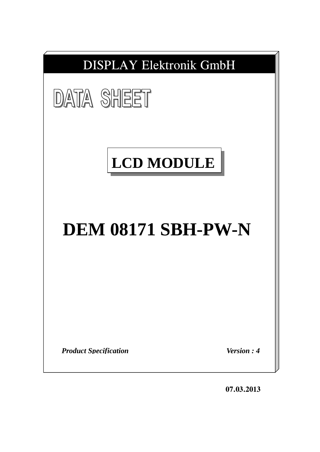

**07.03.2013**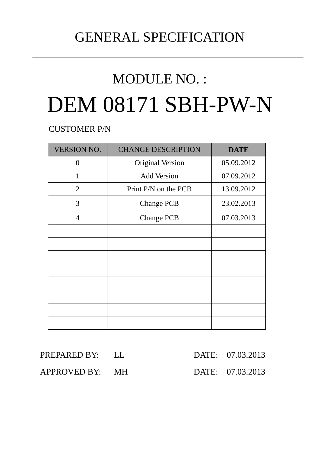# GENERAL SPECIFICATION

# MODULE NO. : DEM 08171 SBH-PW-N

CUSTOMER P/N

| <b>VERSION NO.</b> | <b>CHANGE DESCRIPTION</b> | <b>DATE</b> |
|--------------------|---------------------------|-------------|
| 0                  | <b>Original Version</b>   | 05.09.2012  |
| 1                  | <b>Add Version</b>        | 07.09.2012  |
| 2                  | Print P/N on the PCB      | 13.09.2012  |
| 3                  | <b>Change PCB</b>         | 23.02.2013  |
| $\overline{4}$     | <b>Change PCB</b>         | 07.03.2013  |
|                    |                           |             |
|                    |                           |             |
|                    |                           |             |
|                    |                           |             |
|                    |                           |             |
|                    |                           |             |
|                    |                           |             |
|                    |                           |             |

| PREPARED BY: LL |  | DATE: 07.03.2013 |
|-----------------|--|------------------|
| APPROVED BY: MH |  | DATE: 07.03.2013 |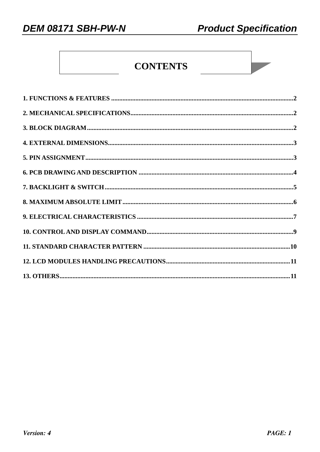# **CONTENTS**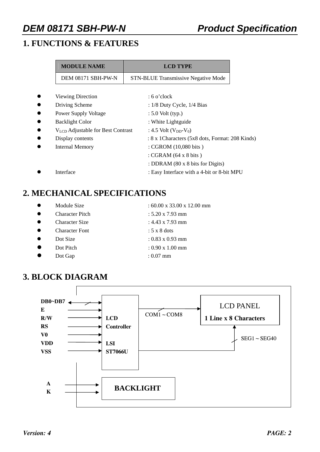## **1. FUNCTIONS & FEATURES**

| <b>MODULE NAME</b>                            | <b>LCD TYPE</b>                                  |  |
|-----------------------------------------------|--------------------------------------------------|--|
| DEM 08171 SBH-PW-N                            | <b>STN-BLUE Transmissive Negative Mode</b>       |  |
|                                               |                                                  |  |
| <b>Viewing Direction</b>                      | $: 6$ o'clock                                    |  |
| Driving Scheme                                | : $1/8$ Duty Cycle, $1/4$ Bias                   |  |
| <b>Power Supply Voltage</b>                   | $: 5.0$ Volt (typ.)                              |  |
| <b>Backlight Color</b>                        | : White Lightguide                               |  |
| V <sub>LCD</sub> Adjustable for Best Contrast | : 4.5 Volt $(V_{DD}-V_0)$                        |  |
| Display contents                              | : 8 x 1 Characters (5x8 dots, Format: 208 Kinds) |  |
| <b>Internal Memory</b>                        | : CGROM (10,080 bits)                            |  |
|                                               | : CGRAM $(64 \times 8 \text{ bits})$             |  |
|                                               | : DDRAM (80 x 8 bits for Digits)                 |  |
| Interface                                     | : Easy Interface with a 4-bit or 8-bit MPU       |  |

## **2. MECHANICAL SPECIFICATIONS**

- 
- 
- 
- 
- 
- 
- z Dot Gap : 0.07 mm
- Module Size  $: 60.00 \times 33.00 \times 12.00 \text{ mm}$
- Character Pitch : 5.20 x 7.93 mm
	- z Character Size : 4.43 x 7.93 mm
	- z Character Font : 5 x 8 dots
- $\bullet$  Dot Size : 0.83 x 0.93 mm
	- z Dot Pitch : 0.90 x 1.00 mm
- **3. BLOCK DIAGRAM**



- 
- 
- 
- 
-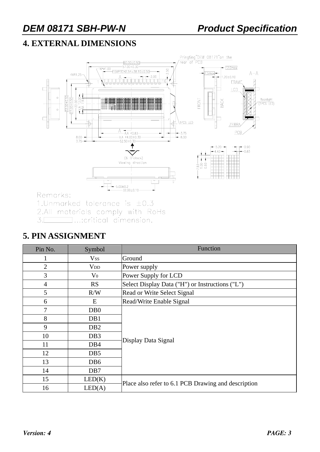## **4. EXTERNAL DIMENSIONS**



Remarks:

1. Unmarked tolerance is  $\pm 0.3$ 

2.All materials comply with RoHs

 $\Box$ ...:critical dimension.  $3.$ 

#### **5. PIN ASSIGNMENT**

| Pin No.        | Symbol                 | Function                                            |  |
|----------------|------------------------|-----------------------------------------------------|--|
|                | <b>Vss</b>             | Ground                                              |  |
| $\overline{2}$ | <b>V</b> <sub>DD</sub> | Power supply                                        |  |
| 3              | $\rm V_0$              | Power Supply for LCD                                |  |
| $\overline{4}$ | <b>RS</b>              | Select Display Data ("H") or Instructions ("L")     |  |
| 5              | R/W                    | Read or Write Select Signal                         |  |
| 6              | E                      | Read/Write Enable Signal                            |  |
| 7              | D <sub>B</sub> 0       |                                                     |  |
| 8              | DB1                    |                                                     |  |
| 9              | D <sub>B2</sub>        |                                                     |  |
| 10             | DB <sub>3</sub>        | Display Data Signal                                 |  |
| 11             | DB <sub>4</sub>        |                                                     |  |
| 12             | DB <sub>5</sub>        |                                                     |  |
| 13             | DB <sub>6</sub>        |                                                     |  |
| 14             | DB7                    |                                                     |  |
| 15             | LED(K)                 |                                                     |  |
| 16             | LED(A)                 | Place also refer to 6.1 PCB Drawing and description |  |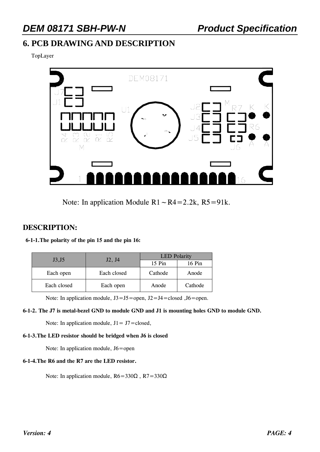#### **6. PCB DRAWING AND DESCRIPTION**

TopLayer



Note: In application Module  $R1~\sim R4=2.2k$ ,  $R5=91k$ .

#### **DESCRIPTION:**

| 6-1-1. The polarity of the pin 15 and the pin 16: |
|---------------------------------------------------|
|---------------------------------------------------|

| J3, J5      | J2, J4      | <b>LED</b> Polarity |         |  |  |
|-------------|-------------|---------------------|---------|--|--|
|             |             | 15 Pin              | 16 Pin  |  |  |
| Each open   | Each closed | Cathode             |         |  |  |
| Each closed | Each open   | Anode               | Cathode |  |  |

Note: In application module,  $J3 = J5$  = open,  $J2 = J4$  = closed ,  $J6$  = open.

#### **6-1-2. The J7 is metal-bezel GND to module GND and J1 is mounting holes GND to module GND.**

Note: In application module,  $J1 = J7 = closed$ ,

#### **6-1-3.The LED resistor should be bridged when J6 is closed**

Note: In application module, J6=open

#### **6-1-4.The R6 and the R7 are the LED resistor.**

Note: In application module,  $R6 = 330\Omega$ ,  $R7 = 330\Omega$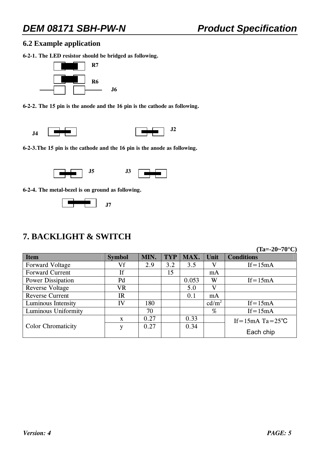#### **6.2 Example application**

**6-2-1. The LED resistor should be bridged as following.** 



**6-2-2. The 15 pin is the anode and the 16 pin is the cathode as following.** 



**6-2-3.The 15 pin is the cathode and the 16 pin is the anode as following.** 



**6-2-4. The metal-bezel is on ground as following.** 



### **7. BACKLIGHT & SWITCH**

**(Ta=-20~70°C)** 

| <b>Item</b>               | <b>Symbol</b> | MIN. | <b>TYP</b> | MAX.  | Unit              | <b>Conditions</b>              |
|---------------------------|---------------|------|------------|-------|-------------------|--------------------------------|
| Forward Voltage           | Vf            | 2.9  | 3.2        | 3.5   | V                 | $If = 15mA$                    |
| <b>Forward Current</b>    | If            |      | 15         |       | mA                |                                |
| Power Dissipation         | Pd            |      |            | 0.053 | W                 | $If = 15mA$                    |
| <b>Reverse Voltage</b>    | VR            |      |            | 5.0   | V                 |                                |
| <b>Reverse Current</b>    | <b>IR</b>     |      |            | 0.1   | mA                |                                |
| Luminous Intensity        | IV            | 180  |            |       | cd/m <sup>2</sup> | $If = 15mA$                    |
| Luminous Uniformity       |               | 70   |            |       | %                 | $If = 15mA$                    |
|                           | $\mathbf{X}$  | 0.27 |            | 0.33  |                   | If = $15mA$ Ta = $25^{\circ}C$ |
| <b>Color Chromaticity</b> | v             | 0.27 |            | 0.34  |                   |                                |
|                           |               |      |            |       |                   | Each chip                      |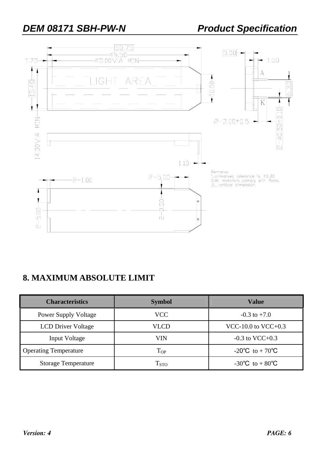

## **8. MAXIMUM ABSOLUTE LIMIT**

| <b>Characteristics</b>       | <b>Symbol</b>      | Value                |  |  |
|------------------------------|--------------------|----------------------|--|--|
| <b>Power Supply Voltage</b>  | <b>VCC</b>         | $-0.3$ to $+7.0$     |  |  |
| <b>LCD Driver Voltage</b>    | VLCD               | VCC-10.0 to VCC+0.3  |  |  |
| Input Voltage                | VIN                | $-0.3$ to VCC $+0.3$ |  |  |
| <b>Operating Temperature</b> | $T_{OP}$           | -20°C to + 70°C      |  |  |
| <b>Storage Temperature</b>   | $\mathrm{T_{STO}}$ | -30°C to + 80°C      |  |  |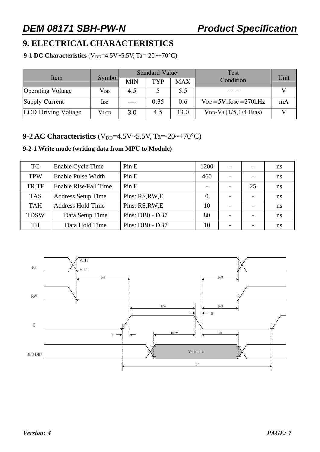## **9. ELECTRICAL CHARACTERISTICS**

**9-1 DC Characteristics**  $(V_{DD} = 4.5V \sim 5.5V, Ta = -20 \sim +70°C)$ 

|                            |               |            | <b>Standard Value</b> |            | <b>Test</b>                                | Unit |
|----------------------------|---------------|------------|-----------------------|------------|--------------------------------------------|------|
| Item                       | <b>Symbol</b> | <b>MIN</b> | <b>TYP</b>            | <b>MAX</b> | Condition                                  |      |
| <b>Operating Voltage</b>   | $\rm V_{DD}$  | 4.5        |                       | 5.5        |                                            |      |
| Supply Current             | $_{\rm{LDD}}$ |            | 0.35                  | 0.6        | $V_{DD} = 5V$ , fosc = 270kHz              | mA   |
| <b>LCD</b> Driving Voltage | <b>VLCD</b>   | 3.0        | 4.5                   | 13.0       | $V_{DD}$ -V <sub>5</sub> $(1/5, 1/4$ Bias) |      |

#### **9-2 AC Characteristics** ( $V_{DD}$ =4.5V~5.5V, Ta=-20~+70°C)

#### **9-2-1 Write mode (writing data from MPU to Module)**

| <b>TC</b>   | Enable Cycle Time         | Pin E           | 1200 | $\overline{\phantom{0}}$ | $\overline{\phantom{a}}$ | ns |
|-------------|---------------------------|-----------------|------|--------------------------|--------------------------|----|
| <b>TPW</b>  | Enable Pulse Width        | Pin E           | 460  |                          | $\overline{\phantom{a}}$ | ns |
| TR.TF       | Enable Rise/Fall Time     | Pin E           |      |                          | 25                       | ns |
| <b>TAS</b>  | <b>Address Setup Time</b> | Pins: RS, RW, E |      | $\overline{\phantom{0}}$ | $\overline{\phantom{a}}$ | ns |
| <b>TAH</b>  | <b>Address Hold Time</b>  | Pins: RS, RW, E | 10   | $\overline{\phantom{0}}$ | $\overline{\phantom{0}}$ | ns |
| <b>TDSW</b> | Data Setup Time           | Pins: DB0 - DB7 | 80   | $\overline{\phantom{0}}$ | $\overline{\phantom{0}}$ | ns |
| <b>TH</b>   | Data Hold Time            | Pins: DB0 - DB7 | 10   |                          |                          | ns |

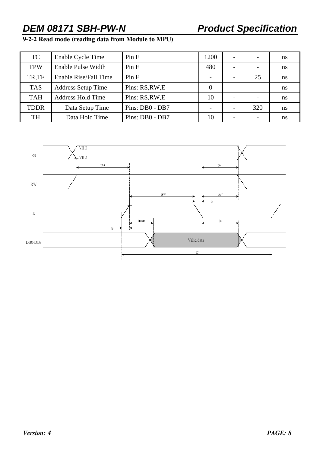### **9-2-2 Read mode (reading data from Module to MPU)**

| <b>TC</b>   | Enable Cycle Time         | Pin E           | 1200     |     | ns            |
|-------------|---------------------------|-----------------|----------|-----|---------------|
| <b>TPW</b>  | Enable Pulse Width        | Pin E           | 480      |     | ns            |
| TR,TF       | Enable Rise/Fall Time     | Pin E           |          | 25  | <sub>ns</sub> |
| <b>TAS</b>  | <b>Address Setup Time</b> | Pins: RS, RW, E | $\theta$ |     | ns            |
| <b>TAH</b>  | <b>Address Hold Time</b>  | Pins: RS, RW, E | 10       |     | ns            |
| <b>TDDR</b> | Data Setup Time           | Pins: DB0 - DB7 |          | 320 | ns            |
| <b>TH</b>   | Data Hold Time            | Pins: DB0 - DB7 | 10       |     | ns            |

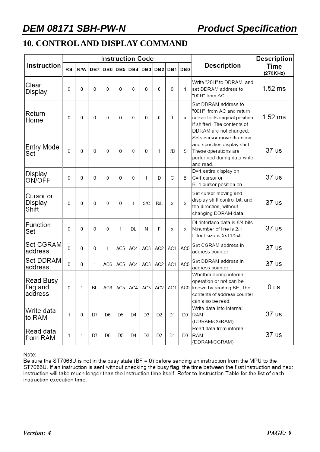## **10. CONTROL AND DISPLAY COMMAND**

|                                  |    |     |          | <b>Instruction Code</b> |                 |                |                 |                 | <b>Description</b> |                 |                                                                                                                                              |                         |
|----------------------------------|----|-----|----------|-------------------------|-----------------|----------------|-----------------|-----------------|--------------------|-----------------|----------------------------------------------------------------------------------------------------------------------------------------------|-------------------------|
| Instruction                      | RS | R/W | DB7      |                         |                 | DB6 DB5 DB4    | DB <sub>3</sub> | DB <sub>2</sub> | DB <sub>1</sub>    | DB <sub>0</sub> | <b>Description</b>                                                                                                                           | <b>Time</b><br>(270KHz) |
| Clear<br>Display                 | 0  | 0   | $\Omega$ | 0                       | $\overline{0}$  | 0              | 0               | 0               | 0                  | 1               | Write "20H" to DDRAM, and<br>set DDRAM address to<br>"00H" from AC                                                                           | $1.52$ ms               |
| Return<br>Home                   | 0  | 0   | 0        | 0                       | 0               | 0              | 0               | $\Omega$        | 1                  | X               | Set DDRAM address to<br>"00H" from AC and return<br>cursor to its original position<br>if shifted. The contents of<br>DDRAM are not changed. | $1.52$ ms               |
| Entry Mode<br>Set                | 0  | 0   | 0        | 0                       | 0               | 0              | 0               | 1               | I/D                | S               | Sets cursor move direction<br>and specifies display shift.<br>These operations are<br>performed during data write<br>and read.               | 37 us                   |
| Display<br>ON/OFF                | 0  | 0   | 0        | 0                       | $\overline{0}$  | 0              | 1               | D               | С                  | B               | D=1:entire display on<br>C=1:cursor on<br>B=1:cursor position on                                                                             | 37 us                   |
| Cursor or<br>Display<br>Shift    | 0  | 0   | $\Omega$ | 0                       | 0               | 1              | S/C             | R/L             | x                  | х               | Set cursor moving and<br>display shift control bit, and<br>the direction, without<br>changing DDRAM data.                                    | 37 us                   |
| Function<br>Set                  | 0  | 0   | $\Omega$ | 0                       | 1               | DL             | N               | F               | x                  | х               | DL:interface data is 8/4 bits<br>N:number of line is 2/1<br>F:font size is 5x11/5x8                                                          | 37 us                   |
| Set CGRAM<br>address             | 0  | 0   | 0        | 1                       | AC <sub>5</sub> | AC4            | AC <sub>3</sub> | AC <sub>2</sub> | AC1                | AC0             | Set CGRAM address in<br>address counter                                                                                                      | 37 us                   |
| Set DDRAM<br>address             | 0  | 0   | 1        | AC6                     | AC <sub>5</sub> | AC4            | AC3             | AC <sub>2</sub> | AC1                | AC0             | Set DDRAM address in<br>address counter                                                                                                      | 37 us                   |
| Read Busy<br>flag and<br>address | 0  | 1   | BF       | AC6                     | AC5             | AC4            | AC <sub>3</sub> | AC <sub>2</sub> | AC1                | AC0             | Whether during internal<br>operation or not can be<br>known by reading BF. The<br>contents of address counter<br>can also be read.           | 0 us                    |
| Write data<br>lto RAM            | 1  | 0   | D7       | D6                      | D5              | D <sub>4</sub> | D3              | D <sub>2</sub>  | D1                 | D0              | Write data into internal<br>RAM<br>(DDRAM/CGRAM)                                                                                             | 37 us                   |
| Read data<br>from RAM            | 1  | 1   | D7       | D <sub>6</sub>          | D <sub>5</sub>  | D <sub>4</sub> | D <sub>3</sub>  | D <sub>2</sub>  | D1                 | D <sub>0</sub>  | Read data from internal<br><b>RAM</b><br>(DDRAM/CGRAM)                                                                                       | 37 us                   |

Note:

Be sure the ST7066U is not in the busy state (BF = 0) before sending an instruction from the MPU to the ST7066U. If an instruction is sent without checking the busy flag, the time between the first instruction and next instruction will take much longer than the instruction time itself. Refer to Instruction Table for the list of each instruction execution time.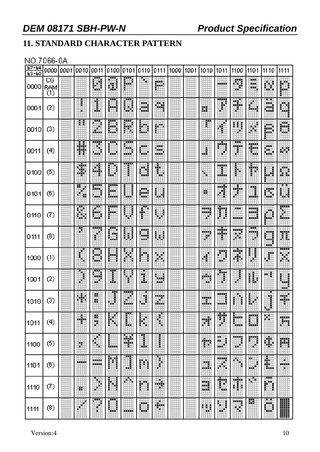# **11. STANDARD CHARACTER PATTERN**

#### NO.7066-0A

| $b7 - b4$<br>$P3-PO$ | 000010001              | 0010   | 0011                   | 0100 0101 0110 |                |                    | 10111             | 1000 1001 | 1010                   | 1011            | 1100                                                                                                                                                                                                                                        | 1101              | 1110              | 1111               |
|----------------------|------------------------|--------|------------------------|----------------|----------------|--------------------|-------------------|-----------|------------------------|-----------------|---------------------------------------------------------------------------------------------------------------------------------------------------------------------------------------------------------------------------------------------|-------------------|-------------------|--------------------|
| 0000                 | CG<br> RAM<br>$_{(1)}$ |        | H                      | Ш              | 哪              |                    | 膷                 |           |                        | an an a         | Ħ<br>шr                                                                                                                                                                                                                                     | œ<br>mini.<br>œ   | ▦                 | 臘                  |
| 0001                 | $^{(2)}$               |        | I                      | <br>فلبنو      | H              | 覹<br>W.            | W.                |           | Ш                      | <b>TTT</b><br>₽ | W.                                                                                                                                                                                                                                          | ▦                 | ⋯<br>鱜<br>WЭ      | Ш                  |
| 0010                 | (3)                    | Ħ      | φŔ<br>Ħ                | œ<br>m<br>ш    | <br>₩          | H                  | 臘                 |           |                        |                 | X)<br>E<br>P.                                                                                                                                                                                                                               | Ħ.                | 膷                 | M                  |
| 0011                 | (4)                    | 薵      | ,,,,,<br>ÿ.<br>m       | <br>w.         | <br>翢<br>an an | man a<br>Ψ         | wan i<br>w.<br>W. |           | m                      | an ma<br>H      | H                                                                                                                                                                                                                                           | Ħ                 | man i<br>W        | WИ                 |
| 0100                 | (5)                    | F      | 躢                      | ▦              |                | ü                  | ∰                 |           | H.                     | m<br>龖          | ₿                                                                                                                                                                                                                                           | ∯                 | Ħ                 | 臘                  |
| 0101                 | (6)                    | Ħ      | 翢<br>₩А                | سم<br>賳<br>ш   | ⊕              | 膷<br>- 5           | 翢                 |           | н                      | HH B<br>▦       | W.<br>Ò                                                                                                                                                                                                                                     | U                 | Ш                 | 躙                  |
| 0110                 | $\left( 7\right)$      | 鸜      | ш<br>H                 | <br>m          |                | ₽                  | J<br>\$           |           | <b>TERRIT</b><br>,,,,, | Ħ<br>H          | ш<br>mm                                                                                                                                                                                                                                     | .<br>an B<br>und. | M                 | E                  |
| 0111                 | (8)                    |        | ł                      | an a<br>11 M   | 躙              | <b>MARKET</b><br>M | 翢                 |           | .<br>B                 | --<br>HA BA     | man sa bagaim<br>₩                                                                                                                                                                                                                          | ш<br>,,,,,        | .<br>- 3<br>an an | 驒                  |
| 1000                 | (1)                    | H      | ш<br>H                 | ber 1          | 硼              | H                  | Ħ                 |           | ¢                      | ▊               | 睡<br>鲫                                                                                                                                                                                                                                      | ł                 | ₽                 | <br>Ħ              |
| 1001                 | $\left( 2\right)$      | 畢      | 罽<br>gji.              | Ŧ<br>I         | đ              | U                  | ₩<br>ш            |           | e in p<br>a.           | 200<br>j.       | ŧ                                                                                                                                                                                                                                           | H                 | m                 | ▦<br>unit.         |
| 1010                 | (3)                    | Ш<br>₩ | ĕ                      | 黚              | ▦<br>₩         | ▦                  | ▦                 | ▦         | m<br>ш.                | .               |                                                                                                                                                                                                                                             | Ë                 | ŧ<br>囲            | 鱜                  |
| 1011                 | (4)                    | H      | ļ                      | 臘              | ı              | 躣                  | Î,                |           | Ħ                      | Ħ               | BW.<br>mining and street products.<br>The contract of the contract of the contract of the contract of the contract of the contract of the contract o<br>Separate of the contract of the contract of the contract of the contract of the con | ▦                 | ш                 | 躙                  |
| 1100                 | (5)                    | Ľ      | ♦                      | <b>Balder</b>  | ¥              | I                  |                   |           | $\bigoplus$            | Ш<br>w.         | mag<br>ą8                                                                                                                                                                                                                                   | ▦                 | ¢,                | 膷                  |
| 1101                 | (6)                    | .<br>₩ | 10000<br><b>MARKET</b> | 矘              | Ш              | Ħ                  |                   |           | m<br>щĒ.               | iling.<br>躢     | ↬                                                                                                                                                                                                                                           | ┅<br>ð<br>m       | 鼺                 | ш<br><b>MARKET</b> |
| 1110                 | Ø)                     | 鹽      |                        | Ħ<br>â,        | 聊              | 翢                  | H                 |           | 讕                      | Ħ               | 鸍                                                                                                                                                                                                                                           | ×<br>H.           | <br>Ш             |                    |
| 1111                 | (8)                    |        | <br>۳                  | ┅<br>ш         | -----          | <b>HOLL</b>        | W.<br>н           |           | m                      | 翢<br>m          | <b>MARKET</b><br>m,                                                                                                                                                                                                                         | 罬                 | m<br>ж<br>翢       | H                  |